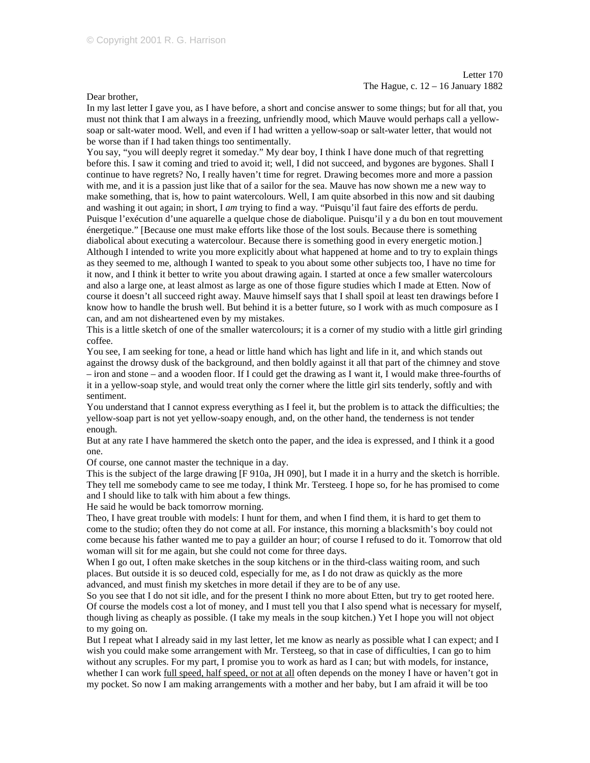Dear brother,

In my last letter I gave you, as I have before, a short and concise answer to some things; but for all that, you must not think that I am always in a freezing, unfriendly mood, which Mauve would perhaps call a yellowsoap or salt-water mood. Well, and even if I had written a yellow-soap or salt-water letter, that would not be worse than if I had taken things too sentimentally.

You say, "you will deeply regret it someday." My dear boy, I think I have done much of that regretting before this. I saw it coming and tried to avoid it; well, I did not succeed, and bygones are bygones. Shall I continue to have regrets? No, I really haven't time for regret. Drawing becomes more and more a passion with me, and it is a passion just like that of a sailor for the sea. Mauve has now shown me a new way to make something, that is, how to paint watercolours. Well, I am quite absorbed in this now and sit daubing and washing it out again; in short, I *am* trying to find a way. "Puisqu'il faut faire des efforts de perdu. Puisque l'exécution d'une aquarelle a quelque chose de diabolique. Puisqu'il y a du bon en tout mouvement énergetique." [Because one must make efforts like those of the lost souls. Because there is something diabolical about executing a watercolour. Because there is something good in every energetic motion.] Although I intended to write you more explicitly about what happened at home and to try to explain things as they seemed to me, although I wanted to speak to you about some other subjects too, I have no time for it now, and I think it better to write you about drawing again. I started at once a few smaller watercolours and also a large one, at least almost as large as one of those figure studies which I made at Etten. Now of course it doesn't all succeed right away. Mauve himself says that I shall spoil at least ten drawings before I know how to handle the brush well. But behind it is a better future, so I work with as much composure as I can, and am not disheartened even by my mistakes.

This is a little sketch of one of the smaller watercolours; it is a corner of my studio with a little girl grinding coffee.

You see, I am seeking for tone, a head or little hand which has light and life in it, and which stands out against the drowsy dusk of the background, and then boldly against it all that part of the chimney and stove – iron and stone – and a wooden floor. If I could get the drawing as I want it, I would make three-fourths of it in a yellow-soap style, and would treat only the corner where the little girl sits tenderly, softly and with sentiment.

You understand that I cannot express everything as I feel it, but the problem is to attack the difficulties; the yellow-soap part is not yet yellow-soapy enough, and, on the other hand, the tenderness is not tender enough.

But at any rate I have hammered the sketch onto the paper, and the idea is expressed, and I think it a good one.

Of course, one cannot master the technique in a day.

This is the subject of the large drawing [F 910a, JH 090], but I made it in a hurry and the sketch is horrible. They tell me somebody came to see me today, I think Mr. Tersteeg. I hope so, for he has promised to come and I should like to talk with him about a few things.

He said he would be back tomorrow morning.

Theo, I have great trouble with models: I hunt for them, and when I find them, it is hard to get them to come to the studio; often they do not come at all. For instance, this morning a blacksmith's boy could not come because his father wanted me to pay a guilder an hour; of course I refused to do it. Tomorrow that old woman will sit for me again, but she could not come for three days.

When I go out, I often make sketches in the soup kitchens or in the third-class waiting room, and such places. But outside it is so deuced cold, especially for me, as I do not draw as quickly as the more advanced, and must finish my sketches in more detail if they are to be of any use.

So you see that I do not sit idle, and for the present I think no more about Etten, but try to get rooted here. Of course the models cost a lot of money, and I must tell you that I also spend what is necessary for myself, though living as cheaply as possible. (I take my meals in the soup kitchen.) Yet I hope you will not object to my going on.

But I repeat what I already said in my last letter, let me know as nearly as possible what I can expect; and I wish you could make some arrangement with Mr. Tersteeg, so that in case of difficulties, I can go to him without any scruples. For my part, I promise you to work as hard as I can; but with models, for instance, whether I can work full speed, half speed, or not at all often depends on the money I have or haven't got in my pocket. So now I am making arrangements with a mother and her baby, but I am afraid it will be too